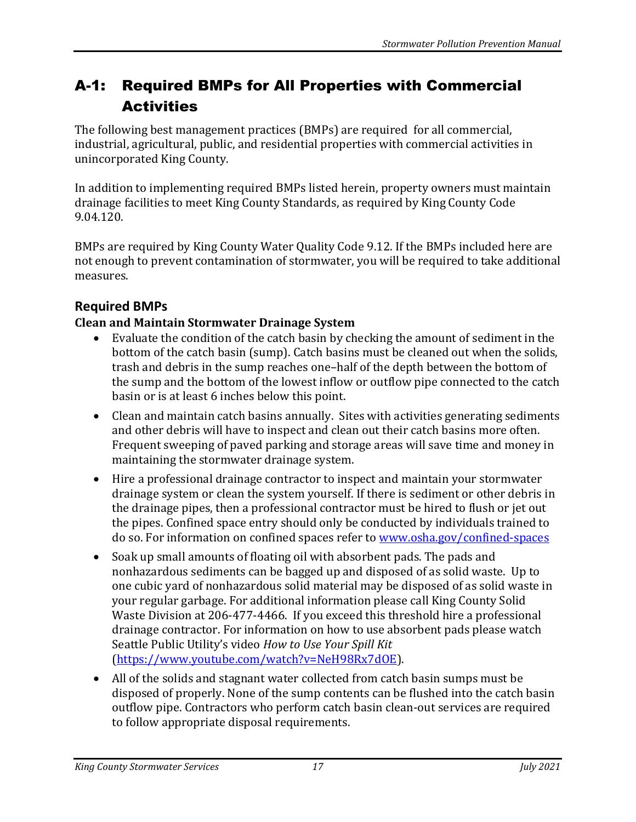# A-1: Required BMPs for All Properties with Commercial **Activities**

The following best management practices (BMPs) are required for all commercial, industrial, agricultural, public, and residential properties with commercial activities in unincorporated King County.

In addition to implementing required BMPs listed herein, property owners must maintain drainage facilities to meet King County Standards, as required by King County Code 9.04.120.

BMPs are required by King County Water Quality Code 9.12. If the BMPs included here are not enough to prevent contamination of stormwater, you will be required to take additional measures.

## **Required BMPs**

### **Clean and Maintain Stormwater Drainage System**

- Evaluate the condition of the catch basin by checking the amount of sediment in the bottom of the catch basin (sump). Catch basins must be cleaned out when the solids, trash and debris in the sump reaches one–half of the depth between the bottom of the sump and the bottom of the lowest inflow or outflow pipe connected to the catch basin or is at least 6 inches below this point.
- Clean and maintain catch basins annually. Sites with activities generating sediments and other debris will have to inspect and clean out their catch basins more often. Frequent sweeping of paved parking and storage areas will save time and money in maintaining the stormwater drainage system.
- Hire a professional drainage contractor to inspect and maintain your stormwater drainage system or clean the system yourself. If there is sediment or other debris in the drainage pipes, then a professional contractor must be hired to flush or jet out the pipes. Confined space entry should only be conducted by individuals trained to do so. For information on confined spaces refer to [www.osha.gov/confined-spaces](http://www.osha.gov/confined-spaces)
- Soak up small amounts of floating oil with absorbent pads. The pads and nonhazardous sediments can be bagged up and disposed of as solid waste. Up to one cubic yard of nonhazardous solid material may be disposed of as solid waste in your regular garbage. For additional information please call King County Solid Waste Division at 206-477-4466. If you exceed this threshold hire a professional drainage contractor. For information on how to use absorbent pads please watch Seattle Public Utility's video *How to Use Your Spill Kit* [\(https://www.youtube.com/watch?v=NeH98Rx7dOE\)](https://www.youtube.com/watch?v=NeH98Rx7dOE).
- All of the solids and stagnant water collected from catch basin sumps must be disposed of properly. None of the sump contents can be flushed into the catch basin outflow pipe. Contractors who perform catch basin clean-out services are required to follow appropriate disposal requirements.